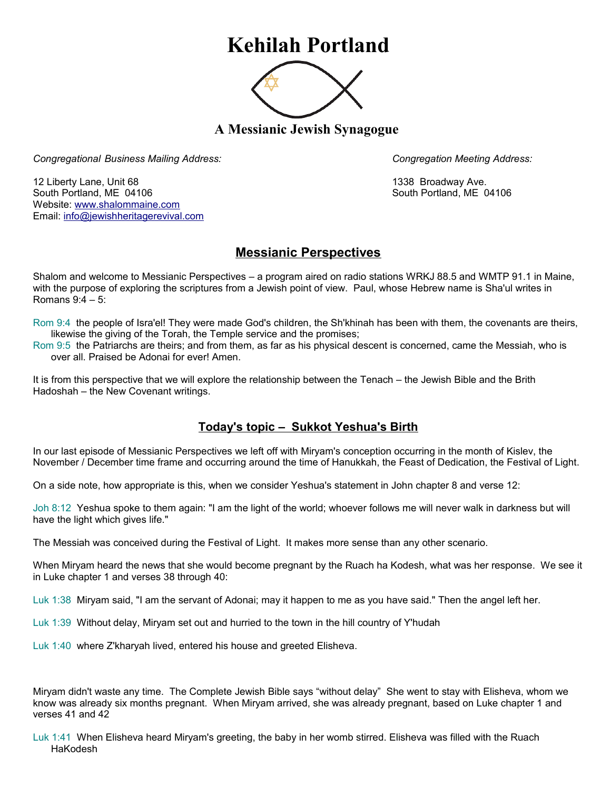## **Kehilah Portland**



**A Messianic Jewish Synagogue** 

*Congregational Business Mailing Address: Congregation Meeting Address:*

12 Liberty Lane, Unit 68 1338 Broadway Ave. South Portland, ME 04106 South Portland, ME 04106 Website: [www.shalommaine.com](http://www.shalommaine.com/) Email: [info@jewishheritagerevival.com](mailto:info@jewishheritagerevival.com) 

## **Messianic Perspectives**

Shalom and welcome to Messianic Perspectives – a program aired on radio stations WRKJ 88.5 and WMTP 91.1 in Maine, with the purpose of exploring the scriptures from a Jewish point of view. Paul, whose Hebrew name is Sha'ul writes in Romans 9:4 – 5:

Rom 9:4 the people of Isra'el! They were made God's children, the Sh'khinah has been with them, the covenants are theirs, likewise the giving of the Torah, the Temple service and the promises;

Rom 9:5 the Patriarchs are theirs; and from them, as far as his physical descent is concerned, came the Messiah, who is over all. Praised be Adonai for ever! Amen.

It is from this perspective that we will explore the relationship between the Tenach – the Jewish Bible and the Brith Hadoshah – the New Covenant writings.

## **Today's topic – Sukkot Yeshua's Birth**

In our last episode of Messianic Perspectives we left off with Miryam's conception occurring in the month of Kislev, the November / December time frame and occurring around the time of Hanukkah, the Feast of Dedication, the Festival of Light.

On a side note, how appropriate is this, when we consider Yeshua's statement in John chapter 8 and verse 12:

Joh 8:12 Yeshua spoke to them again: "I am the light of the world; whoever follows me will never walk in darkness but will have the light which gives life."

The Messiah was conceived during the Festival of Light. It makes more sense than any other scenario.

When Miryam heard the news that she would become pregnant by the Ruach ha Kodesh, what was her response. We see it in Luke chapter 1 and verses 38 through 40:

Luk 1:38 Miryam said, "I am the servant of Adonai; may it happen to me as you have said." Then the angel left her.

Luk 1:39 Without delay, Miryam set out and hurried to the town in the hill country of Y'hudah

Luk 1:40 where Z'kharyah lived, entered his house and greeted Elisheva.

Miryam didn't waste any time. The Complete Jewish Bible says "without delay" She went to stay with Elisheva, whom we know was already six months pregnant. When Miryam arrived, she was already pregnant, based on Luke chapter 1 and verses 41 and 42

Luk 1:41 When Elisheva heard Miryam's greeting, the baby in her womb stirred. Elisheva was filled with the Ruach HaKodesh